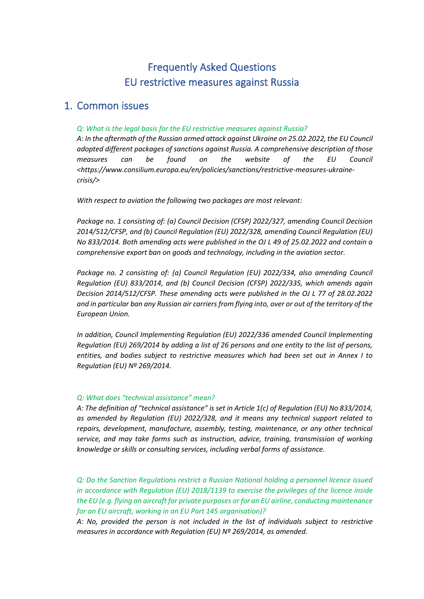# Frequently Asked Questions EU restrictive measures against Russia

### 1. Common issues

#### *Q: What is the legal basis for the EU restrictive measures against Russia?*

*A: In the aftermath of the Russian armed attack against Ukraine on 25.02.2022, the EU Council adopted different packages of sanctions against Russia. A comprehensive description of those measures can be found on the website of the EU Council <https://www.consilium.europa.eu/en/policies/sanctions/restrictive-measures-ukrainecrisis/>*

*With respect to aviation the following two packages are most relevant:*

*Package no. 1 consisting of: (a) Council Decision (CFSP) 2022/327, amending Council Decision 2014/512/CFSP, and (b) Council Regulation (EU) 2022/328, amending Council Regulation (EU) No 833/2014. Both amending acts were published in the OJ L 49 of 25.02.2022 and contain a comprehensive export ban on goods and technology, including in the aviation sector.* 

*Package no. 2 consisting of: (a) Council Regulation (EU) 2022/334, also amending Council Regulation (EU) 833/2014, and (b) Council Decision (CFSP) 2022/335, which amends again Decision 2014/512/CFSP. These amending acts were published in the OJ L 77 of 28.02.2022 and in particular ban any Russian air carriers from flying into, over or out of the territory of the European Union.* 

*In addition, Council Implementing Regulation (EU) 2022/336 amended Council Implementing Regulation (EU) 269/2014 by adding a list of 26 persons and one entity to the list of persons, entities, and bodies subject to restrictive measures which had been set out in Annex I to Regulation (EU) Nº 269/2014.* 

#### *Q: What does "technical assistance" mean?*

*A: The definition of "technical assistance" is set in Article 1(c) of Regulation (EU) No 833/2014, as amended by Regulation (EU) 2022/328, and it means any technical support related to repairs, development, manufacture, assembly, testing, maintenance, or any other technical service, and may take forms such as instruction, advice, training, transmission of working knowledge or skills or consulting services, including verbal forms of assistance.*

*Q: Do the Sanction Regulations restrict a Russian National holding a personnel licence issued in accordance with Regulation (EU) 2018/1139 to exercise the privileges of the licence inside the EU (e.g. flying an aircraft for private purposes or for an EU airline, conducting maintenance for an EU aircraft, working in an EU Part 145 organisation)?*

*A: No, provided the person is not included in the list of individuals subject to restrictive measures in accordance with Regulation (EU) Nº 269/2014, as amended.*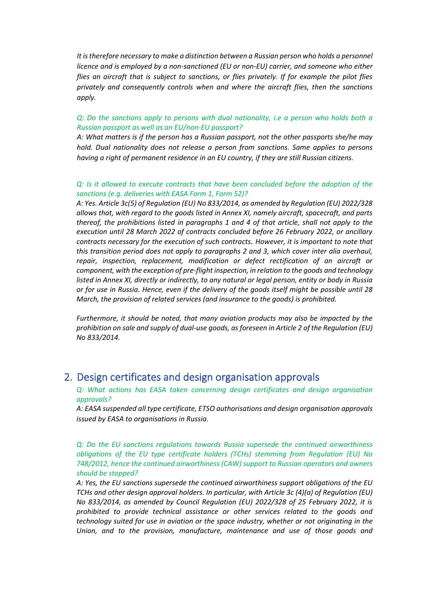*It is therefore necessary to make a distinction between a Russian person who holds a personnel licence and is employed by a non-sanctioned (EU or non-EU) carrier, and someone who either flies an aircraft that is subject to sanctions, or flies privately. If for example the pilot flies privately and consequently controls when and where the aircraft flies, then the sanctions apply.*

#### *Q: Do the sanctions apply to persons with dual nationality, i.e a person who holds both a Russian passport as well as an EU/non-EU passport?*

*A: What matters is if the person has a Russian passport, not the other passports she/he may hold. Dual nationality does not release a person from sanctions. Same applies to persons having a right of permanent residence in an EU country, if they are still Russian citizens.*

#### *Q: Is it allowed to execute contracts that have been concluded before the adoption of the sanctions (e.g. deliveries with EASA Form 1, Form 52)?*

*A: Yes. Article 3c(5) of Regulation (EU) No 833/2014, as amended by Regulation (EU) 2022/328 allows that, with regard to the goods listed in Annex XI, namely aircraft, spacecraft, and parts thereof, the prohibitions listed in paragraphs 1 and 4 of that article, shall not apply to the execution until 28 March 2022 of contracts concluded before 26 February 2022, or ancillary contracts necessary for the execution of such contracts. However, it is important to note that this transition period does not apply to paragraphs 2 and 3, which cover inter alia overhaul, repair, inspection, replacement, modification or defect rectification of an aircraft or component, with the exception of pre-flight inspection, in relation to the goods and technology listed in Annex XI, directly or indirectly, to any natural or legal person, entity or body in Russia or for use in Russia. Hence, even if the delivery of the goods itself might be possible until 28 March, the provision of related services (and insurance to the goods) is prohibited.*

*Furthermore, it should be noted, that many aviation products may also be impacted by the prohibition on sale and supply of dual-use goods, as foreseen in Article 2 of the Regulation (EU) No 833/2014.*

### 2. Design certificates and design organisation approvals

*Q: What actions has EASA taken concerning design certificates and design organisation approvals?*

*A: EASA suspended all type certificate, ETSO authorisations and design organisation approvals issued by EASA to organisations in Russia.*

*Q: Do the EU sanctions regulations towards Russia supersede the continued airworthiness obligations of the EU type certificate holders (TCHs) stemming from Regulation (EU) No 748/2012, hence the continued airworthiness (CAW) support to Russian operators and owners should be stopped?* 

*A: Yes, the EU sanctions supersede the continued airworthiness support obligations of the EU TCHs and other design approval holders. In particular, with Article 3c (4)(a) of Regulation (EU) No 833/2014, as amended by Council Regulation (EU) 2022/328 of 25 February 2022, it is prohibited to provide technical assistance or other services related to the goods and technology suited for use in aviation or the space industry, whether or not originating in the Union, and to the provision, manufacture, maintenance and use of those goods and*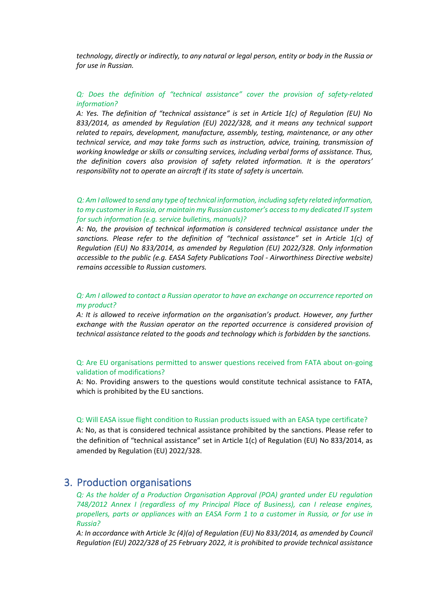*technology, directly or indirectly, to any natural or legal person, entity or body in the Russia or for use in Russian.* 

#### *Q: Does the definition of "technical assistance" cover the provision of safety-related information?*

*A: Yes. The definition of "technical assistance" is set in Article 1(c) of Regulation (EU) No 833/2014, as amended by Regulation (EU) 2022/328, and it means any technical support related to repairs, development, manufacture, assembly, testing, maintenance, or any other technical service, and may take forms such as instruction, advice, training, transmission of working knowledge or skills or consulting services, including verbal forms of assistance. Thus, the definition covers also provision of safety related information. It is the operators' responsibility not to operate an aircraft if its state of safety is uncertain.*

#### *Q: Am I allowed to send any type of technical information, including safety related information, to my customer in Russia, or maintain my Russian customer's access to my dedicated IT system for such information (e.g. service bulletins, manuals)?*

*A: No, the provision of technical information is considered technical assistance under the sanctions. Please refer to the definition of "technical assistance" set in Article 1(c) of Regulation (EU) No 833/2014, as amended by Regulation (EU) 2022/328. Only information accessible to the public (e.g. EASA Safety Publications Tool - Airworthiness Directive website) remains accessible to Russian customers.*

#### *Q: Am I allowed to contact a Russian operator to have an exchange on occurrence reported on my product?*

*A: It is allowed to receive information on the organisation's product. However, any further exchange with the Russian operator on the reported occurrence is considered provision of technical assistance related to the goods and technology which is forbidden by the sanctions.* 

#### Q: Are EU organisations permitted to answer questions received from FATA about on-going validation of modifications?

A: No. Providing answers to the questions would constitute technical assistance to FATA, which is prohibited by the EU sanctions.

#### Q: Will EASA issue flight condition to Russian products issued with an EASA type certificate?

A: No, as that is considered technical assistance prohibited by the sanctions. Please refer to the definition of "technical assistance" set in Article 1(c) of Regulation (EU) No 833/2014, as amended by Regulation (EU) 2022/328.

### 3. Production organisations

*Q: As the holder of a Production Organisation Approval (POA) granted under EU regulation 748/2012 Annex I (regardless of my Principal Place of Business), can I release engines, propellers, parts or appliances with an EASA Form 1 to a customer in Russia, or for use in Russia?*

*A: In accordance with Article 3c (4)(a) of Regulation (EU) No 833/2014, as amended by Council Regulation (EU) 2022/328 of 25 February 2022, it is prohibited to provide technical assistance*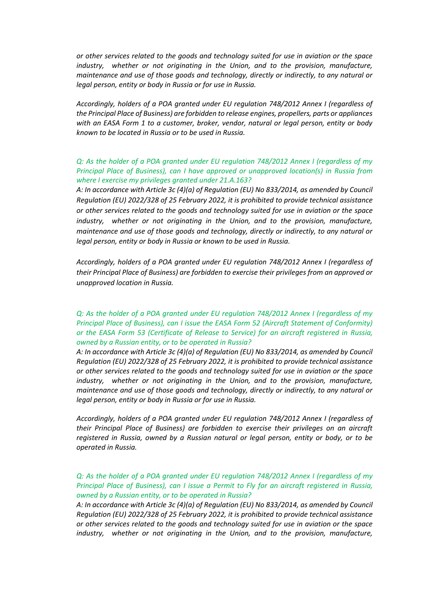*or other services related to the goods and technology suited for use in aviation or the space industry, whether or not originating in the Union, and to the provision, manufacture, maintenance and use of those goods and technology, directly or indirectly, to any natural or legal person, entity or body in Russia or for use in Russia.*

*Accordingly, holders of a POA granted under EU regulation 748/2012 Annex I (regardless of the Principal Place of Business) are forbidden to release engines, propellers, parts or appliances with an EASA Form 1 to a customer, broker, vendor, natural or legal person, entity or body known to be located in Russia or to be used in Russia.*

#### *Q: As the holder of a POA granted under EU regulation 748/2012 Annex I (regardless of my Principal Place of Business), can I have approved or unapproved location(s) in Russia from where I exercise my privileges granted under 21.A.163?*

*A: In accordance with Article 3c (4)(a) of Regulation (EU) No 833/2014, as amended by Council Regulation (EU) 2022/328 of 25 February 2022, it is prohibited to provide technical assistance or other services related to the goods and technology suited for use in aviation or the space industry, whether or not originating in the Union, and to the provision, manufacture, maintenance and use of those goods and technology, directly or indirectly, to any natural or legal person, entity or body in Russia or known to be used in Russia.*

*Accordingly, holders of a POA granted under EU regulation 748/2012 Annex I (regardless of their Principal Place of Business) are forbidden to exercise their privileges from an approved or unapproved location in Russia.*

#### *Q: As the holder of a POA granted under EU regulation 748/2012 Annex I (regardless of my Principal Place of Business), can I issue the EASA Form 52 (Aircraft Statement of Conformity) or the EASA Form 53 (Certificate of Release to Service) for an aircraft registered in Russia, owned by a Russian entity, or to be operated in Russia?*

*A: In accordance with Article 3c (4)(a) of Regulation (EU) No 833/2014, as amended by Council Regulation (EU) 2022/328 of 25 February 2022, it is prohibited to provide technical assistance or other services related to the goods and technology suited for use in aviation or the space industry, whether or not originating in the Union, and to the provision, manufacture, maintenance and use of those goods and technology, directly or indirectly, to any natural or legal person, entity or body in Russia or for use in Russia.*

*Accordingly, holders of a POA granted under EU regulation 748/2012 Annex I (regardless of their Principal Place of Business) are forbidden to exercise their privileges on an aircraft registered in Russia, owned by a Russian natural or legal person, entity or body, or to be operated in Russia.*

#### *Q: As the holder of a POA granted under EU regulation 748/2012 Annex I (regardless of my Principal Place of Business), can I issue a Permit to Fly for an aircraft registered in Russia, owned by a Russian entity, or to be operated in Russia?*

*A: In accordance with Article 3c (4)(a) of Regulation (EU) No 833/2014, as amended by Council Regulation (EU) 2022/328 of 25 February 2022, it is prohibited to provide technical assistance or other services related to the goods and technology suited for use in aviation or the space industry, whether or not originating in the Union, and to the provision, manufacture,*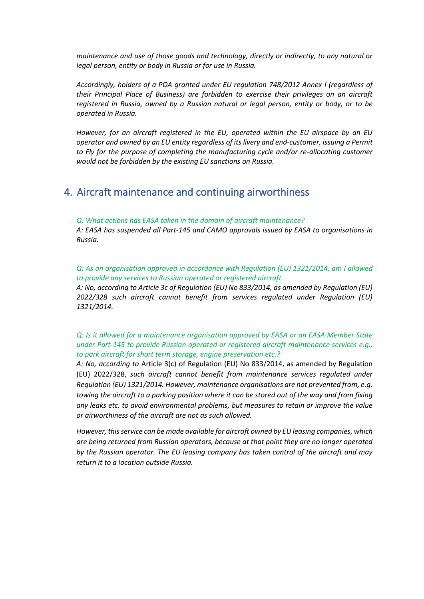*maintenance and use of those goods and technology, directly or indirectly, to any natural or legal person, entity or body in Russia or for use in Russia.*

*Accordingly, holders of a POA granted under EU regulation 748/2012 Annex I (regardless of their Principal Place of Business) are forbidden to exercise their privileges on an aircraft registered in Russia, owned by a Russian natural or legal person, entity or body, or to be operated in Russia.*

*However, for an aircraft registered in the EU, operated within the EU airspace by an EU operator and owned by an EU entity regardless of its livery and end-customer, issuing a Permit*  to Fly for the purpose of completing the manufacturing cycle and/or re-allocating customer *would not be forbidden by the existing EU sanctions on Russia.*

### 4. Aircraft maintenance and continuing airworthiness

*Q: What actions has EASA taken in the domain of aircraft maintenance?*

*A: EASA has suspended all Part-145 and CAMO approvals issued by EASA to organisations in Russia.*

*Q: As an organisation approved in accordance with Regulation (EU) 1321/2014, am I allowed to provide any services to Russian operated or registered aircraft.*

*A: No, according to Article 3c of Regulation (EU) No 833/2014, as amended by Regulation (EU) 2022/328 such aircraft cannot benefit from services regulated under Regulation (EU) 1321/2014.* 

*Q: Is it allowed for a maintenance organisation approved by EASA or an EASA Member State under Part-145 to provide Russian operated or registered aircraft maintenance services e.g., to park aircraft for short term storage, engine preservation etc.?*

*A: No, according to* Article 3(c) of Regulation (EU) No 833/2014, as amended by Regulation (EU) 2022/328, *such aircraft cannot benefit from maintenance services regulated under Regulation (EU) 1321/2014. However, maintenance organisations are not prevented from, e.g. towing the aircraft to a parking position where it can be stored out of the way and from fixing any leaks etc. to avoid environmental problems, but measures to retain or improve the value or airworthiness of the aircraft are not as such allowed.*

*However, this service can be made available for aircraft owned by EU leasing companies, which are being returned from Russian operators, because at that point they are no longer operated by the Russian operator. The EU leasing company has taken control of the aircraft and may return it to a location outside Russia.*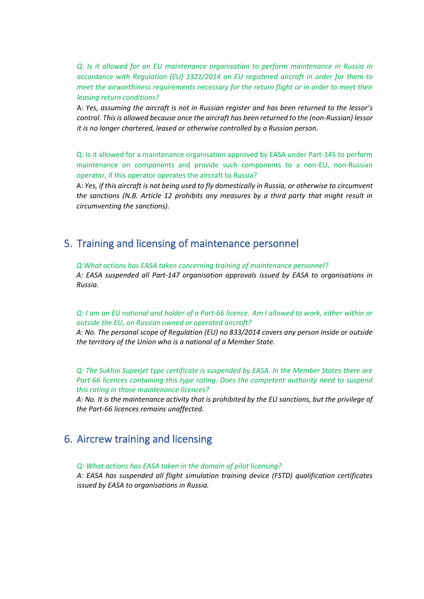*Q: Is it allowed for an EU maintenance organisation to perform maintenance in Russia in accordance with Regulation (EU) 1321/2014 on EU registered aircraft in order for them to meet the airworthiness requirements necessary for the return flight or in order to meet their leasing return conditions?* 

A: *Yes, assuming the aircraft is not in Russian register and has been returned to the lessor's control. This is allowed because once the aircraft has been returned to the (non-Russian) lessor it is no longer chartered, leased or otherwise controlled by a Russian person.*

Q: Is it allowed for a maintenance organisation approved by EASA under Part-145 to perform maintenance on components and provide such components to a non-EU, non-Russian operator, if this operator operates the aircraft to Russia?

A: *Yes, if this aircraft is not being used to fly domestically in Russia, or otherwise to circumvent the sanctions (N.B. Article 12 prohibits any measures by a third party that might result in circumventing the sanctions).*

### 5. Training and licensing of maintenance personnel

*Q:What actions has EASA taken concerning training of maintenance personnel? A: EASA suspended all Part-147 organisation approvals issued by EASA to organisations in Russia.*

*Q: I am an EU national and holder of a Part-66 licence*. *Am I allowed to work, either within or outside the EU, on Russian owned or operated aircraft?*

*A: No. The personal scope of Regulation (EU) no 833/2014 covers any person inside or outside the territory of the Union who is a national of a Member State.*

*Q: The Sukhoi Superjet type certificate is suspended by EASA. In the Member States there are*  Part-66 licences containing this type rating. Does the competent authority need to suspend *this rating in those maintenance licences?*

*A: No. It is the maintenance activity that is prohibited by the EU sanctions, but the privilege of the Part-66 licences remains unaffected.*

## 6. Aircrew training and licensing

*Q: What actions has EASA taken in the domain of pilot licensing?*

*A: EASA has suspended all flight simulation training device (FSTD) qualification certificates issued by EASA to organisations in Russia.*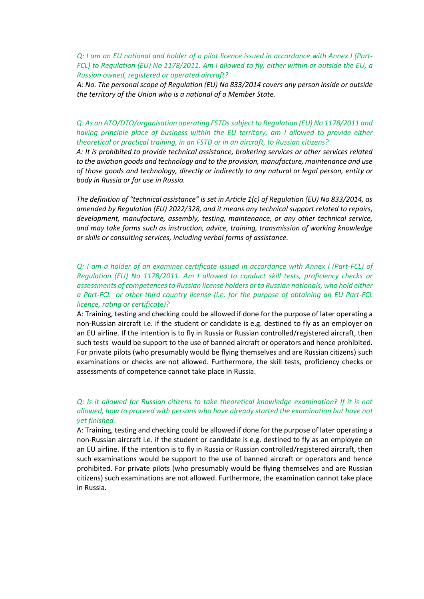*Q: I am an EU national and holder of a pilot licence issued in accordance with Annex I (Part-FCL) to Regulation (EU) No 1178/2011. Am I allowed to fly, either within or outside the EU, a Russian owned, registered or operated aircraft?*

*A: No. The personal scope of Regulation (EU) No 833/2014 covers any person inside or outside the territory of the Union who is a national of a Member State.*

#### *Q: As an ATO/DTO/organisation operating FSTDssubject to Regulation (EU) No 1178/2011 and having principle place of business within the EU territory, am I allowed to provide either theoretical or practical training, in an FSTD or in an aircraft, to Russian citizens?*

*A: It is prohibited to provide technical assistance, brokering services or other services related to the aviation goods and technology and to the provision, manufacture, maintenance and use of those goods and technology, directly or indirectly to any natural or legal person, entity or body in Russia or for use in Russia.* 

*The definition of "technical assistance" is set in Article 1(c) of Regulation (EU) No 833/2014, as amended by Regulation (EU) 2022/328, and it means any technical support related to repairs, development, manufacture, assembly, testing, maintenance, or any other technical service, and may take forms such as instruction, advice, training, transmission of working knowledge or skills or consulting services, including verbal forms of assistance.*

#### *Q: I am a holder of an examiner certificate issued in accordance with Annex I (Part-FCL) of Regulation (EU) No 1178/2011. Am I allowed to conduct skill tests, proficiency checks or assessments of competencesto Russian license holders or to Russian nationals, who hold either a Part-FCL or other third country license (i.e. for the purpose of obtaining an EU Part-FCL licence, rating or certificate)?*

A: Training, testing and checking could be allowed if done for the purpose of later operating a non-Russian aircraft i.e. if the student or candidate is e.g. destined to fly as an employer on an EU airline. If the intention is to fly in Russia or Russian controlled/registered aircraft, then such tests would be support to the use of banned aircraft or operators and hence prohibited. For private pilots (who presumably would be flying themselves and are Russian citizens) such examinations or checks are not allowed. Furthermore, the skill tests, proficiency checks or assessments of competence cannot take place in Russia.

### *Q: Is it allowed for Russian citizens to take theoretical knowledge examination? If it is not allowed, how to proceed with persons who have already started the examination but have not yet finished.*

A: Training, testing and checking could be allowed if done for the purpose of later operating a non-Russian aircraft i.e. if the student or candidate is e.g. destined to fly as an employee on an EU airline. If the intention is to fly in Russia or Russian controlled/registered aircraft, then such examinations would be support to the use of banned aircraft or operators and hence prohibited. For private pilots (who presumably would be flying themselves and are Russian citizens) such examinations are not allowed. Furthermore, the examination cannot take place in Russia.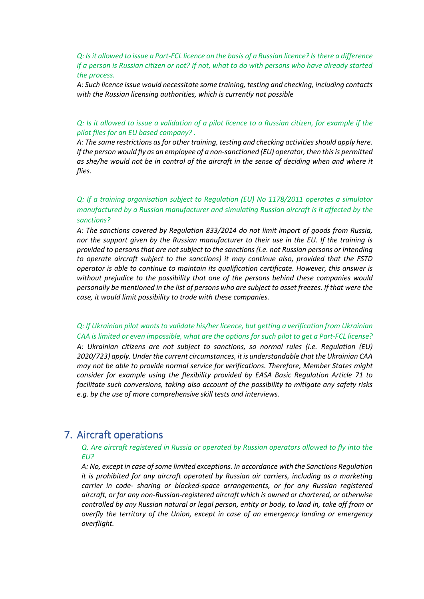*Q: Is it allowed to issue a Part-FCL licence on the basis of a Russian licence? Is there a difference if a person is Russian citizen or not? If not, what to do with persons who have already started the process.*

*A: Such licence issue would necessitate some training, testing and checking, including contacts with the Russian licensing authorities, which is currently not possible*

#### *Q: Is it allowed to issue a validation of a pilot licence to a Russian citizen, for example if the pilot flies for an EU based company? .*

*A: The same restrictions as for other training, testing and checking activitiesshould apply here. If the person would fly as an employee of a non-sanctioned (EU) operator, then this is permitted as she/he would not be in control of the aircraft in the sense of deciding when and where it flies.*

### *Q: If a training organisation subject to Regulation (EU) No 1178/2011 operates a simulator manufactured by a Russian manufacturer and simulating Russian aircraft is it affected by the sanctions?*

*A: The sanctions covered by Regulation 833/2014 do not limit import of goods from Russia, nor the support given by the Russian manufacturer to their use in the EU. If the training is provided to persons that are not subject to the sanctions (i.e. not Russian persons or intending to operate aircraft subject to the sanctions) it may continue also, provided that the FSTD operator is able to continue to maintain its qualification certificate. However, this answer is without prejudice to the possibility that one of the persons behind these companies would personally be mentioned in the list of persons who are subject to asset freezes. If that were the case, it would limit possibility to trade with these companies.*

*Q: If Ukrainian pilot wants to validate his/her licence, but getting a verification from Ukrainian CAA is limited or even impossible, what are the options for such pilot to get a Part-FCL license? A: Ukrainian citizens are not subject to sanctions, so normal rules (i.e. Regulation (EU) 2020/723) apply. Under the current circumstances, it is understandable that the Ukrainian CAA may not be able to provide normal service for verifications. Therefore, Member States might consider for example using the flexibility provided by EASA Basic Regulation Article 71 to facilitate such conversions, taking also account of the possibility to mitigate any safety risks e.g. by the use of more comprehensive skill tests and interviews.*

### 7. Aircraft operations

#### *Q. Are aircraft registered in Russia or operated by Russian operators allowed to fly into the EU?*

*A: No, except in case of some limited exceptions. In accordance with the Sanctions Regulation it is prohibited for any aircraft operated by Russian air carriers, including as a marketing carrier in code- sharing or blocked-space arrangements, or for any Russian registered aircraft, or for any non-Russian-registered aircraft which is owned or chartered, or otherwise controlled by any Russian natural or legal person, entity or body, to land in, take off from or overfly the territory of the Union, except in case of an emergency landing or emergency overflight.*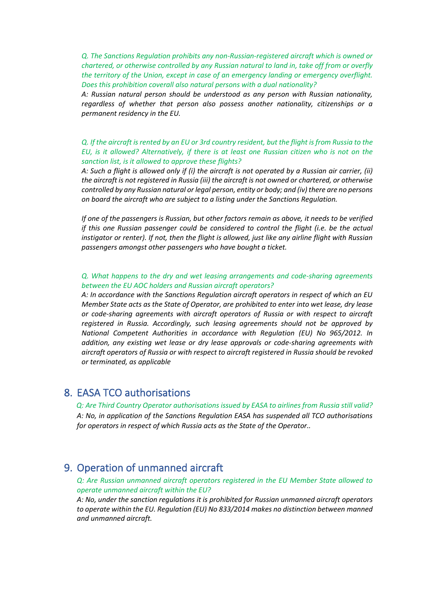*Q. The Sanctions Regulation prohibits any non-Russian-registered aircraft which is owned or chartered, or otherwise controlled by any Russian natural to land in, take off from or overfly the territory of the Union, except in case of an emergency landing or emergency overflight. Does this prohibition coverall also natural persons with a dual nationality?*

*A: Russian natural person should be understood as any person with Russian nationality, regardless of whether that person also possess another nationality, citizenships or a permanent residency in the EU.*

*Q. If the aircraft is rented by an EU or 3rd country resident, but the flight is from Russia to the EU, is it allowed? Alternatively, if there is at least one Russian citizen who is not on the sanction list, is it allowed to approve these flights?*

*A: Such a flight is allowed only if (i) the aircraft is not operated by a Russian air carrier, (ii) the aircraft is not registered in Russia (iii) the aircraft is not owned or chartered, or otherwise controlled by any Russian natural or legal person, entity or body; and (iv) there are no persons on board the aircraft who are subject to a listing under the Sanctions Regulation.*

*If one of the passengers is Russian, but other factors remain as above, it needs to be verified if this one Russian passenger could be considered to control the flight (i.e. be the actual instigator or renter). If not, then the flight is allowed, just like any airline flight with Russian passengers amongst other passengers who have bought a ticket.*

*Q. What happens to the dry and wet leasing arrangements and code-sharing agreements between the EU AOC holders and Russian aircraft operators?* 

*A: In accordance with the Sanctions Regulation aircraft operators in respect of which an EU Member State acts as the State of Operator, are prohibited to enter into wet lease, dry lease or code-sharing agreements with aircraft operators of Russia or with respect to aircraft registered in Russia. Accordingly, such leasing agreements should not be approved by National Competent Authorities in accordance with Regulation (EU) No 965/2012. In addition, any existing wet lease or dry lease approvals or code-sharing agreements with aircraft operators of Russia or with respect to aircraft registered in Russia should be revoked or terminated, as applicable*

### 8. EASA TCO authorisations

*Q: Are Third Country Operator authorisations issued by EASA to airlines from Russia still valid? A: No, in application of the Sanctions Regulation EASA has suspended all TCO authorisations for operators in respect of which Russia acts as the State of the Operator..*

### 9. Operation of unmanned aircraft

*Q: Are Russian unmanned aircraft operators registered in the EU Member State allowed to operate unmanned aircraft within the EU?*

*A: No, under the sanction regulations it is prohibited for Russian unmanned aircraft operators to operate within the EU. Regulation (EU) No 833/2014 makes no distinction between manned and unmanned aircraft.*